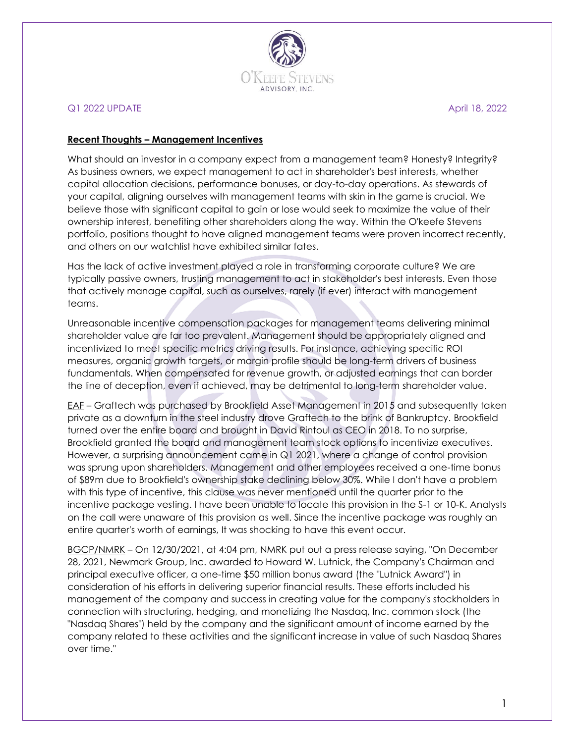

### Q1 2022 UPDATE April 18, 2022

#### **Recent Thoughts – Management Incentives**

What should an investor in a company expect from a management team? Honesty? Integrity? As business owners, we expect management to act in shareholder's best interests, whether capital allocation decisions, performance bonuses, or day-to-day operations. As stewards of your capital, aligning ourselves with management teams with skin in the game is crucial. We believe those with significant capital to gain or lose would seek to maximize the value of their ownership interest, benefiting other shareholders along the way. Within the O'keefe Stevens portfolio, positions thought to have aligned management teams were proven incorrect recently, and others on our watchlist have exhibited similar fates.

Has the lack of active investment played a role in transforming corporate culture? We are typically passive owners, trusting management to act in stakeholder's best interests. Even those that actively manage capital, such as ourselves, rarely (if ever) interact with management teams.

Unreasonable incentive compensation packages for management teams delivering minimal shareholder value are far too prevalent. Management should be appropriately aligned and incentivized to meet specific metrics driving results. For instance, achieving specific ROI measures, organic growth targets, or margin profile should be long-term drivers of business fundamentals. When compensated for revenue growth, or adjusted earnings that can border the line of deception, even if achieved, may be detrimental to long-term shareholder value.

EAF – Graftech was purchased by Brookfield Asset Management in 2015 and subsequently taken private as a downturn in the steel industry drove Graftech to the brink of Bankruptcy. Brookfield turned over the entire board and brought in David Rintoul as CEO in 2018. To no surprise, Brookfield granted the board and management team stock options to incentivize executives. However, a surprising announcement came in Q1 2021, where a change of control provision was sprung upon shareholders. Management and other employees received a one-time bonus of \$89m due to Brookfield's ownership stake declining below 30%. While I don't have a problem with this type of incentive, this clause was never mentioned until the quarter prior to the incentive package vesting. I have been unable to locate this provision in the S-1 or 10-K. Analysts on the call were unaware of this provision as well. Since the incentive package was roughly an entire quarter's worth of earnings, It was shocking to have this event occur.

BGCP/NMRK – On 12/30/2021, at 4:04 pm, NMRK put out a press release saying, "On December 28, 2021, Newmark Group, Inc. awarded to Howard W. Lutnick, the Company's Chairman and principal executive officer, a one-time \$50 million bonus award (the "Lutnick Award") in consideration of his efforts in delivering superior financial results. These efforts included his management of the company and success in creating value for the company's stockholders in connection with structuring, hedging, and monetizing the Nasdaq, Inc. common stock (the "Nasdaq Shares") held by the company and the significant amount of income earned by the company related to these activities and the significant increase in value of such Nasdaq Shares over time."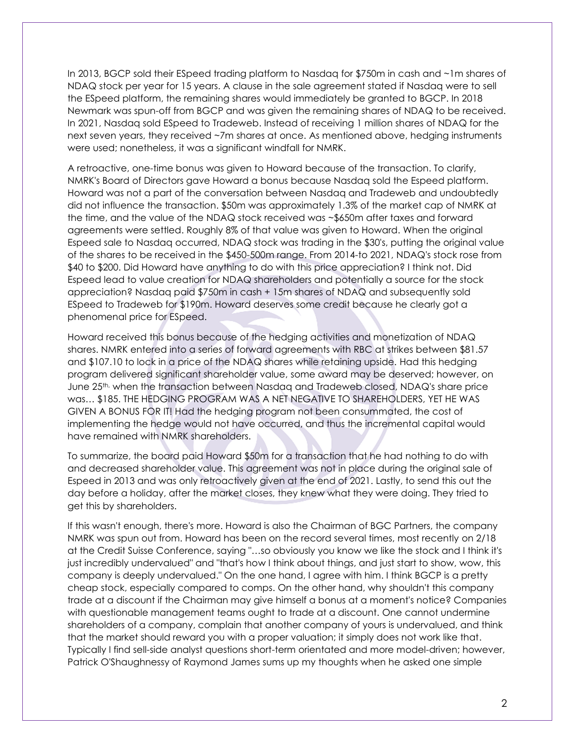In 2013, BGCP sold their ESpeed trading platform to Nasdaq for \$750m in cash and ~1m shares of NDAQ stock per year for 15 years. A clause in the sale agreement stated if Nasdaq were to sell the ESpeed platform, the remaining shares would immediately be granted to BGCP. In 2018 Newmark was spun-off from BGCP and was given the remaining shares of NDAQ to be received. In 2021, Nasdaq sold ESpeed to Tradeweb. Instead of receiving 1 million shares of NDAQ for the next seven years, they received ~7m shares at once. As mentioned above, hedging instruments were used; nonetheless, it was a significant windfall for NMRK.

A retroactive, one-time bonus was given to Howard because of the transaction. To clarify, NMRK's Board of Directors gave Howard a bonus because Nasdaq sold the Espeed platform. Howard was not a part of the conversation between Nasdaq and Tradeweb and undoubtedly did not influence the transaction. \$50m was approximately 1.3% of the market cap of NMRK at the time, and the value of the NDAQ stock received was ~\$650m after taxes and forward agreements were settled. Roughly 8% of that value was given to Howard. When the original Espeed sale to Nasdaq occurred, NDAQ stock was trading in the \$30's, putting the original value of the shares to be received in the \$450-500m range. From 2014-to 2021, NDAQ's stock rose from \$40 to \$200. Did Howard have anything to do with this price appreciation? I think not. Did Espeed lead to value creation for NDAQ shareholders and potentially a source for the stock appreciation? Nasdaq paid \$750m in cash + 15m shares of NDAQ and subsequently sold ESpeed to Tradeweb for \$190m. Howard deserves some credit because he clearly got a phenomenal price for ESpeed.

Howard received this bonus because of the hedging activities and monetization of NDAQ shares. NMRK entered into a series of forward agreements with RBC at strikes between \$81.57 and \$107.10 to lock in a price of the NDAQ shares while retaining upside. Had this hedging program delivered significant shareholder value, some award may be deserved; however, on June 25th, when the transaction between Nasdaq and Tradeweb closed, NDAQ's share price was… \$185. THE HEDGING PROGRAM WAS A NET NEGATIVE TO SHAREHOLDERS, YET HE WAS GIVEN A BONUS FOR IT! Had the hedging program not been consummated, the cost of implementing the hedge would not have occurred, and thus the incremental capital would have remained with NMRK shareholders.

To summarize, the board paid Howard \$50m for a transaction that he had nothing to do with and decreased shareholder value. This agreement was not in place during the original sale of Espeed in 2013 and was only retroactively given at the end of 2021. Lastly, to send this out the day before a holiday, after the market closes, they knew what they were doing. They tried to get this by shareholders.

If this wasn't enough, there's more. Howard is also the Chairman of BGC Partners, the company NMRK was spun out from. Howard has been on the record several times, most recently on 2/18 at the Credit Suisse Conference, saying "…so obviously you know we like the stock and I think it's just incredibly undervalued" and "that's how I think about things, and just start to show, wow, this company is deeply undervalued." On the one hand, I agree with him. I think BGCP is a pretty cheap stock, especially compared to comps. On the other hand, why shouldn't this company trade at a discount if the Chairman may give himself a bonus at a moment's notice? Companies with questionable management teams ought to trade at a discount. One cannot undermine shareholders of a company, complain that another company of yours is undervalued, and think that the market should reward you with a proper valuation; it simply does not work like that. Typically I find sell-side analyst questions short-term orientated and more model-driven; however, Patrick O'Shaughnessy of Raymond James sums up my thoughts when he asked one simple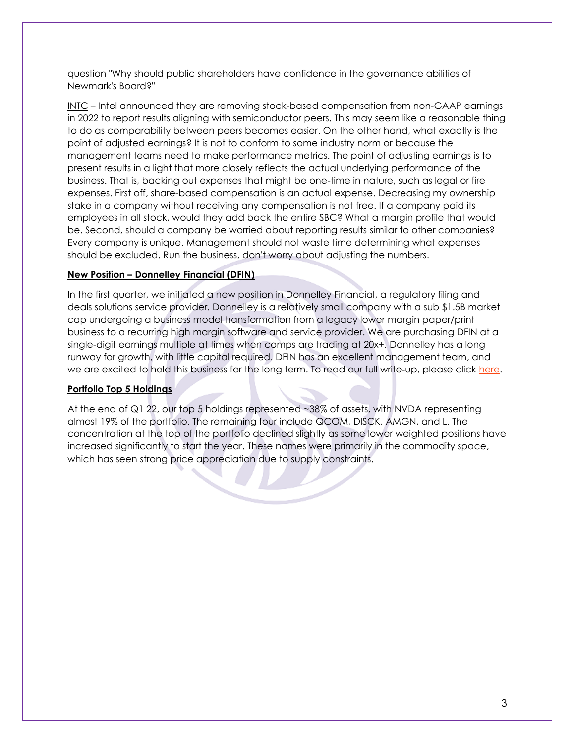question "Why should public shareholders have confidence in the governance abilities of Newmark's Board?"

INTC – Intel announced they are removing stock-based compensation from non-GAAP earnings in 2022 to report results aligning with semiconductor peers. This may seem like a reasonable thing to do as comparability between peers becomes easier. On the other hand, what exactly is the point of adjusted earnings? It is not to conform to some industry norm or because the management teams need to make performance metrics. The point of adjusting earnings is to present results in a light that more closely reflects the actual underlying performance of the business. That is, backing out expenses that might be one-time in nature, such as legal or fire expenses. First off, share-based compensation is an actual expense. Decreasing my ownership stake in a company without receiving any compensation is not free. If a company paid its employees in all stock, would they add back the entire SBC? What a margin profile that would be. Second, should a company be worried about reporting results similar to other companies? Every company is unique. Management should not waste time determining what expenses should be excluded. Run the business, don't worry about adjusting the numbers.

# **New Position – Donnelley Financial (DFIN)**

In the first quarter, we initiated a new position in Donnelley Financial, a regulatory filing and deals solutions service provider. Donnelley is a relatively small company with a sub \$1.5B market cap undergoing a business model transformation from a legacy lower margin paper/print business to a recurring high margin software and service provider. We are purchasing DFIN at a single-digit earnings multiple at times when comps are trading at 20x+. Donnelley has a long runway for growth, with little capital required. DFIN has an excellent management team, and we are excited to hold this business for the long term. To read our full write-up, please click [here.](https://seekingalpha.com/article/4491047-donnelley-financial-solutions-stock-the-transformation-just-underway)

# **Portfolio Top 5 Holdings**

At the end of Q1 22, our top 5 holdings represented ~38% of assets, with NVDA representing almost 19% of the portfolio. The remaining four include QCOM, DISCK, AMGN, and L. The concentration at the top of the portfolio declined slightly as some lower weighted positions have increased significantly to start the year. These names were primarily in the commodity space, which has seen strong price appreciation due to supply constraints.